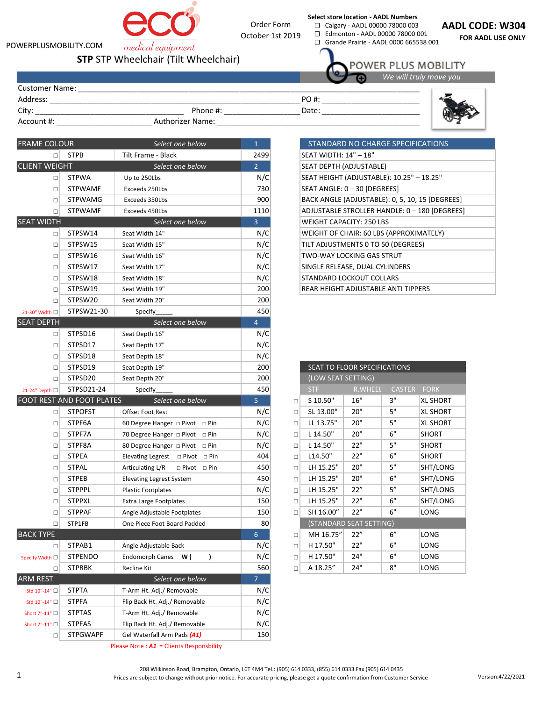

POWERPLUSMOBILITY.COM

Address: \_\_\_\_\_\_\_\_\_\_\_\_\_\_\_\_\_\_\_\_\_\_\_\_\_\_\_\_\_\_\_\_\_\_\_\_\_\_\_\_\_\_\_\_\_\_\_\_\_\_\_\_\_\_\_\_\_\_\_\_\_\_\_\_\_\_\_\_\_\_\_

Customer Name:

medical equipment **STP** STP Wheelchair (Tilt Wheelchair)



☐ Calgary - AADL 00000 78000 003 ☐ Edmonton - AADL 00000 78000 001

☐ Grande Prairie - AADL 0000 665538 001

**AADL CODE: W304**

**FOR AADL USE ONLY**

POWER PLUS MOBILITY

PO #:



*We will truly move you* 

| <b>FRAME COLOUR</b>  |                                  | Select one below                            | $\mathbf{1}$   |                                            |                                               | STANDARD NO CHARGE SPECIFICATIONS |             |                 |
|----------------------|----------------------------------|---------------------------------------------|----------------|--------------------------------------------|-----------------------------------------------|-----------------------------------|-------------|-----------------|
| $\Box$               | <b>STPB</b>                      | Tilt Frame - Black                          | 2499           |                                            | SEAT WIDTH: 14" - 18"                         |                                   |             |                 |
| <b>CLIENT WEIGHT</b> | Select one below                 |                                             | $\overline{2}$ |                                            | SEAT DEPTH (ADJUSTABLE)                       |                                   |             |                 |
| □                    | <b>STPWA</b>                     | Up to 250Lbs                                | N/C            | SEAT HEIGHT (ADJUSTABLE): 10.25" - 18.25"  |                                               |                                   |             |                 |
| $\Box$               | <b>STPWAMF</b>                   | Exceeds 250Lbs                              | 730            |                                            | SEAT ANGLE: 0 - 30 [DEGREES]                  |                                   |             |                 |
| $\Box$               | <b>STPWAMG</b>                   | Exceeds 350Lbs                              | 900            |                                            | BACK ANGLE (ADJUSTABLE): 0, 5, 10, 15 [DEGREI |                                   |             |                 |
| $\Box$               | <b>STPWAMF</b>                   | Exceeds 450Lbs                              | 1110           | ADJUSTABLE STROLLER HANDLE: 0 - 180 [DEGRE |                                               |                                   |             |                 |
| <b>SEAT WIDTH</b>    |                                  | Select one below                            | $\overline{3}$ |                                            | <b>WEIGHT CAPACITY: 250 LBS</b>               |                                   |             |                 |
| $\Box$               | STPSW14                          | Seat Width 14"                              | N/C            |                                            | WEIGHT OF CHAIR: 60 LBS (APPROXIMATELY)       |                                   |             |                 |
| □                    | STPSW15                          | Seat Width 15"                              | N/C            |                                            | TILT ADJUSTMENTS 0 TO 50 (DEGREES)            |                                   |             |                 |
| □                    | STPSW16                          | Seat Width 16"                              | N/C            |                                            | TWO-WAY LOCKING GAS STRUT                     |                                   |             |                 |
| $\Box$               | STPSW17                          | Seat Width 17"                              | N/C            |                                            | SINGLE RELEASE, DUAL CYLINDERS                |                                   |             |                 |
| □                    | STPSW18                          | Seat Width 18"                              | N/C            |                                            | STANDARD LOCKOUT COLLARS                      |                                   |             |                 |
| □                    | STPSW19                          | Seat Width 19"                              | 200            |                                            | REAR HEIGHT ADJUSTABLE ANTI TIPPERS           |                                   |             |                 |
| $\Box$               | STPSW20                          | Seat Width 20"                              | 200            |                                            |                                               |                                   |             |                 |
| 21-30" Width □       | STPSW21-30                       | <b>Specify</b>                              | 450            |                                            |                                               |                                   |             |                 |
| <b>SEAT DEPTH</b>    |                                  | Select one below                            | $\overline{4}$ |                                            |                                               |                                   |             |                 |
| □                    | STPSD16                          | Seat Depth 16"                              | N/C            |                                            |                                               |                                   |             |                 |
| $\Box$               | STPSD17                          | Seat Depth 17"                              | N/C            |                                            |                                               |                                   |             |                 |
| $\Box$               | STPSD18                          | Seat Depth 18"                              | N/C            |                                            |                                               |                                   |             |                 |
| □                    | STPSD19                          | Seat Depth 19"                              | 200            |                                            |                                               | SEAT TO FLOOR SPECIFICATIONS      |             |                 |
| $\Box$               | STPSD20                          | Seat Depth 20"                              | 200            |                                            | (LOW SEAT SETTING)                            |                                   |             |                 |
| 21-24" Depth □       | STPSD21-24                       | Specify                                     | 450            |                                            | <b>STF</b>                                    | R.WHEEL                           | CASTER FORK |                 |
|                      | <b>FOOT REST AND FOOT PLATES</b> | Select one below                            | 5              | $\Box$                                     | S 10.50"                                      | 16"                               | 3"          | <b>XL SHORT</b> |
| $\Box$               | <b>STPOFST</b>                   | Offset Foot Rest                            | N/C            | $\Box$                                     | SL 13.00"                                     | 20"                               | 5"          | <b>XL SHORT</b> |
| □                    | STPF6A                           | 60 Degree Hanger □ Pivot □ Pin              | N/C            | □                                          | LL 13.75"                                     | 20"                               | 5"          | <b>XL SHORT</b> |
| $\Box$               | STPF7A                           | 70 Degree Hanger $\Box$ Pivot $\Box$ Pin    | N/C            | $\Box$                                     | L 14.50"                                      | $20"$                             | 6"          | <b>SHORT</b>    |
| □                    | STPF8A                           | 80 Degree Hanger □ Pivot □ Pin              | N/C            | $\Box$                                     | L 14.50"                                      | 22"                               | 5"          | <b>SHORT</b>    |
| □                    | <b>STPEA</b>                     | Elevating Legrest $\Box$ Pivot $\Box$ Pin   | 404            | $\Box$                                     | L14.50"                                       | 22"                               | 6"          | SHORT           |
| $\Box$               | <b>STPAL</b>                     | Articulating L/R<br>$\Box$ Pivot $\Box$ Pin | 450            | $\Box$                                     | LH 15.25"                                     | 20"                               | 5"          | SHT/LONG        |
| □                    | <b>STPEB</b>                     | <b>Elevating Legrest System</b>             | 450            | $\Box$                                     | LH 15.25"                                     | 20"                               | 6"          | SHT/LONG        |
| □                    | <b>STPPPL</b>                    | <b>Plastic Footplates</b>                   | N/C            | $\Box$                                     | LH 15.25"                                     | 22"                               | 5''         | SHT/LONG        |
| □                    | <b>STPPXL</b>                    | <b>Extra Large Footplates</b>               | 150            | $\Box$                                     | LH 15.25"                                     | 22"                               | 6"          | SHT/LONG        |
| □                    | <b>STPPAF</b>                    | Angle Adjustable Footplates                 | 150            | $\Box$                                     | SH 16.00"                                     | 22"                               | 6"          | LONG            |
| $\Box$               | STP1FB                           | One Piece Foot Board Padded                 | 80             |                                            |                                               | (STANDARD SEAT SETTING)           |             |                 |
| <b>BACK TYPE</b>     |                                  |                                             | $6\phantom{a}$ | $\Box$                                     | MH 16.75"                                     | 22"                               | $6''$       | LONG            |
| □                    | STPAB1                           | Angle Adjustable Back                       | N/C            | $\Box$                                     | H 17.50"                                      | 22"                               | 6"          | LONG            |
| Specify Width □      | <b>STPENDO</b>                   | <b>Endomorph Canes</b><br>W(<br>)           | N/C            | □                                          | H 17.50"                                      | 24"                               | $6"$        | LONG            |
| $\Box$               | <b>STPRBK</b>                    | Recline Kit                                 | 560            | $\Box$                                     | A 18.25"                                      | 24"                               | 8"          | LONG            |
| <b>ARM REST</b>      |                                  | Select one below                            | $\overline{7}$ |                                            |                                               |                                   |             |                 |
| Std 10"-14" □        | <b>STPTA</b>                     | T-Arm Ht. Adj./ Removable                   | N/C            |                                            |                                               |                                   |             |                 |
| Std 10"-14" □        | <b>STPFA</b>                     | Flip Back Ht. Adj./ Removable               | N/C            |                                            |                                               |                                   |             |                 |
| Short 7"-11" □       | <b>STPTAS</b>                    | T-Arm Ht. Adj./ Removable                   | N/C            |                                            |                                               |                                   |             |                 |
| Short 7"-11" □       | <b>STPFAS</b>                    | Flip Back Ht. Adj./ Removable               | N/C            |                                            |                                               |                                   |             |                 |
| $\Box$               | <b>STPGWAPF</b>                  | Gel Waterfall Arm Pads (A1)                 | 150            |                                            |                                               |                                   |             |                 |
|                      |                                  |                                             |                |                                            |                                               |                                   |             |                 |

| STANDARD NO CHARGE SPECIFICATIONS               |
|-------------------------------------------------|
| SEAT WIDTH: 14" - 18"                           |
| SEAT DEPTH (ADJUSTABLE)                         |
| SEAT HEIGHT (ADJUSTABLE): 10.25" - 18.25"       |
| SEAT ANGLE: 0 - 30 [DEGREES]                    |
| BACK ANGLE (ADJUSTABLE): 0, 5, 10, 15 [DEGREES] |
| ADJUSTABLE STROLLER HANDLE: 0 - 180 [DEGREES]   |
| WEIGHT CAPACITY: 250 LBS                        |
| WEIGHT OF CHAIR: 60 LBS (APPROXIMATELY)         |
| TILT ADJUSTMENTS 0 TO 50 (DEGREES)              |
| TWO-WAY LOCKING GAS STRUT                       |
| SINGLE RELEASE, DUAL CYLINDERS                  |
| STANDARD LOCKOUT COLLARS                        |
| REAR HEIGHT ADJUSTABLE ANTI TIPPERS             |

|        | SEAT TO FLOOR SPECIFICATIONS |                |               |                 |  |  |  |
|--------|------------------------------|----------------|---------------|-----------------|--|--|--|
|        | (LOW SEAT SETTING)           |                |               |                 |  |  |  |
|        | <b>STF</b>                   | <b>R.WHEEL</b> | <b>CASTER</b> | <b>FORK</b>     |  |  |  |
| □      | S 10.50"                     | 16"            | З"            | <b>XL SHORT</b> |  |  |  |
| п      | SL 13.00"                    | 20"            | 5"            | <b>XL SHORT</b> |  |  |  |
| □      | LL 13.75"                    | 20"            | 5"            | <b>XL SHORT</b> |  |  |  |
| П      | L 14.50"                     | 20"            | 6"            | <b>SHORT</b>    |  |  |  |
| $\Box$ | L 14.50"                     | 22"            | 5"            | <b>SHORT</b>    |  |  |  |
| □      | L14.50"                      | 22"            | 6"            | <b>SHORT</b>    |  |  |  |
| $\Box$ | LH 15.25"                    | 20"            | 5"            | SHT/LONG        |  |  |  |
| □      | LH 15.25"                    | 20"            | 6"            | SHT/LONG        |  |  |  |
| □      | LH 15.25"                    | 22"            | 5''           | SHT/LONG        |  |  |  |
| □      | LH 15.25"                    | 22"            | 6"            | SHT/LONG        |  |  |  |
| □      | SH 16.00"                    | 22"            | 6"            | LONG            |  |  |  |
|        | (STANDARD SEAT SETTING)      |                |               |                 |  |  |  |
| п      | MH 16.75"                    | 22"            | 6"            | LONG            |  |  |  |
| □      | H 17.50"                     | 22"            | 6"            | LONG            |  |  |  |
| □      | H 17.50"                     | 24"            | 6"            | LONG            |  |  |  |
| п      | A 18.25"                     | 24"            | 8"            | LONG            |  |  |  |

Please Note : *A1* = Clients Responsbility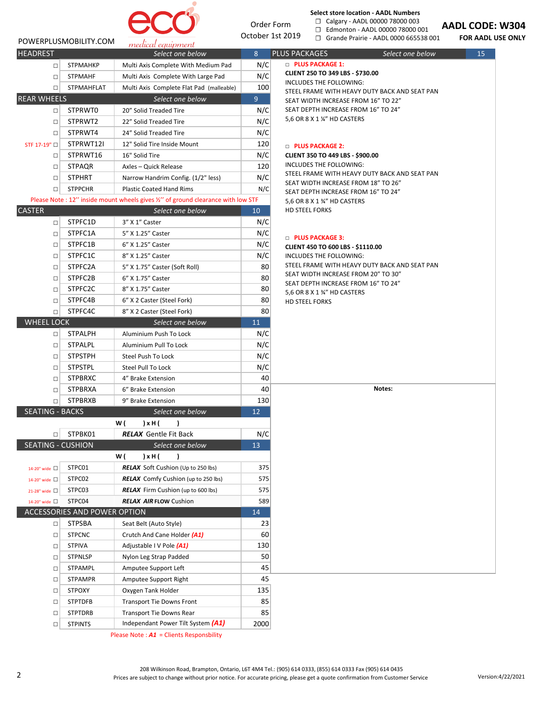

Order Form October 1st 2019

#### **Select store location - AADL Numbers** ☐ Calgary - AADL 00000 78000 003

☐ Edmonton - AADL 00000 78000 001

☐ Grande Prairie - AADL 0000 665538 001

**AADL CODE: W304**

**FOR AADL USE ONLY**

| POWERPLUSMOBILITY.COM |
|-----------------------|
| <b>HEADREST</b>       |

| <b>HEADREST</b>    |                   | Select one below                         | 8   |
|--------------------|-------------------|------------------------------------------|-----|
| □                  | <b>STPMAHKP</b>   | Multi Axis Complete With Medium Pad      | N/C |
| □                  | <b>STPMAHF</b>    | Multi Axis Complete With Large Pad       | N/C |
| □                  | <b>STPMAHFLAT</b> | Multi Axis Complete Flat Pad (malleable) | 100 |
| <b>REAR WHEELS</b> |                   | Select one below                         | 9   |
| □                  | STPRWT0           | 20" Solid Treaded Tire                   | N/C |
| □                  | STPRWT2           | 22" Solid Treaded Tire                   | N/C |
| $\Box$             | STPRWT4           | 24" Solid Treaded Tire                   | N/C |
| STF 17-19" □       | STPRWT12I         | 12" Solid Tire Inside Mount              | 120 |
| □                  | STPRWT16          | 16" Solid Tire                           | N/C |
| □                  | <b>STPAQR</b>     | Axles - Quick Release                    | 120 |
| □                  | <b>STPHRT</b>     | Narrow Handrim Config. (1/2" less)       | N/C |
| □                  | <b>STPPCHR</b>    | <b>Plastic Coated Hand Rims</b>          | N/C |

# Please Note : 12" inside mount wheels gives  $\frac{y}{z}$ " of ground clearance with low STF

| <b>CASTER</b>            |                              | Select one below                           | 10  |  |
|--------------------------|------------------------------|--------------------------------------------|-----|--|
| □                        | STPFC1D                      | 3" X 1" Caster                             | N/C |  |
| П                        | STPFC1A                      | 5" X 1.25" Caster                          | N/C |  |
| STPFC1B<br>п             |                              | 6" X 1.25" Caster                          | N/C |  |
| $\Box$                   | STPFC1C                      | 8" X 1.25" Caster                          | N/C |  |
| $\Box$                   | STPFC2A                      | 5" X 1.75" Caster (Soft Roll)              | 80  |  |
| $\Box$                   | STPFC2B                      | 6" X 1.75" Caster                          | 80  |  |
| $\Box$                   | STPFC2C                      | 8" X 1.75" Caster                          | 80  |  |
| $\Box$                   | STPFC4B                      | 6" X 2 Caster (Steel Fork)                 | 80  |  |
| П                        | STPFC4C                      | 8" X 2 Caster (Steel Fork)                 | 80  |  |
| <b>WHEEL LOCK</b>        |                              | Select one below                           | 11  |  |
| □                        | <b>STPALPH</b>               | Aluminium Push To Lock                     | N/C |  |
| $\Box$                   | <b>STPALPL</b>               | Aluminium Pull To Lock                     | N/C |  |
| $\Box$                   | <b>STPSTPH</b>               | Steel Push To Lock                         | N/C |  |
| $\Box$                   | <b>STPSTPL</b>               | Steel Pull To Lock                         | N/C |  |
| $\Box$                   | <b>STPBRXC</b>               | 4" Brake Extension                         | 40  |  |
| $\Box$                   | <b>STPBRXA</b>               | 6" Brake Extension                         |     |  |
| □                        | <b>STPBRXB</b>               | 9" Brake Extension                         | 130 |  |
| <b>SEATING - BACKS</b>   |                              | Select one below                           | 12  |  |
|                          |                              | w (<br>) x H (<br>1                        |     |  |
| П                        | STPBK01                      | <b>RELAX</b> Gentle Fit Back               | N/C |  |
| <b>SEATING - CUSHION</b> |                              | Select one below                           | 13  |  |
|                          |                              | w (<br>) x H (<br>1                        |     |  |
| 14-20" wide $\Box$       | STPC01                       | <b>RELAX</b> Soft Cushion (Up to 250 lbs)  | 375 |  |
| 14-20" wide $\Box$       | STPC02                       | <b>RELAX</b> Comfy Cushion (up to 250 lbs) | 575 |  |
| 21-28" wide $\Box$       | STPC03                       | <b>RELAX</b> Firm Cushion (up to 600 lbs)  | 575 |  |
| 14-20" wide $\Box$       | STPC04                       | <b>RELAX AIR FLOW Cushion</b>              | 589 |  |
|                          | ACCESSORIES AND POWER OPTION |                                            | 14  |  |
| $\Box$                   | <b>STPSBA</b>                | Seat Belt (Auto Style)                     | 23  |  |
| $\Box$                   | <b>STPCNC</b>                | Crutch And Cane Holder (A1)                | 60  |  |
| $\Box$                   |                              |                                            |     |  |
|                          | <b>STPIVA</b>                | Adjustable I V Pole (A1)                   | 130 |  |
| $\Box$                   | <b>STPNLSP</b>               | Nylon Leg Strap Padded                     | 50  |  |
| □                        | <b>STPAMPL</b>               | Amputee Support Left                       | 45  |  |
| □                        | <b>STPAMPR</b>               | Amputee Support Right                      | 45  |  |
| п                        | <b>STPOXY</b>                | Oxygen Tank Holder                         | 135 |  |
| п                        | <b>STPTDFB</b>               | <b>Transport Tie Downs Front</b>           | 85  |  |
| □                        | <b>STPTDRB</b>               | <b>Transport Tie Downs Rear</b>            | 85  |  |

Please Note : *A1* = Clients Responsbility

# PLUS PACKAGES **Select one below 15 □ PLUS PACKAGE 1:**

**CLIENT 250 TO 349 LBS - \$730.00**

INCLUDES THE FOLLOWING:

STEEL FRAME WITH HEAVY DUTY BACK AND SEAT PAN SEAT WIDTH INCREASE FROM 16" TO 22" SEAT DEPTH INCREASE FROM 16" TO 24" 5,6 OR 8 X 1 ¼" HD CASTERS

# □ **PLUS PACKAGE 2:**

**CLIENT 350 TO 449 LBS - \$900.00** INCLUDES THE FOLLOWING: STEEL FRAME WITH HEAVY DUTY BACK AND SEAT PAN SEAT WIDTH INCREASE FROM 18" TO 26" SEAT DEPTH INCREASE FROM 16" TO 24" 5,6 OR 8 X 1 ¾" HD CASTERS HD STEEL FORKS

# □ **PLUS PACKAGE 3:**

**CLIENT 450 TO 600 LBS - \$1110.00** INCLUDES THE FOLLOWING: STEEL FRAME WITH HEAVY DUTY BACK AND SEAT PAN SEAT WIDTH INCREASE FROM 20" TO 30" SEAT DEPTH INCREASE FROM 16" TO 24" 5,6 OR 8 X 1 ¾" HD CASTERS HD STEEL FORKS

**Notes:**